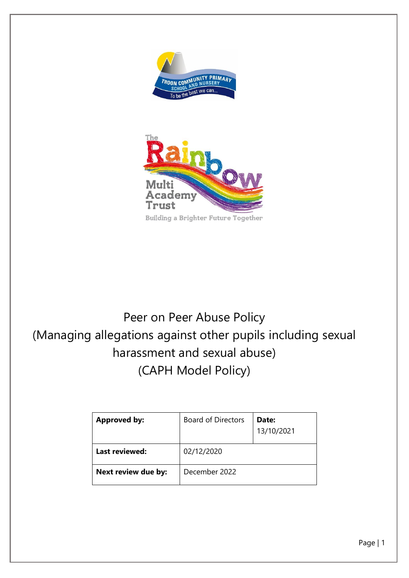



Peer on Peer Abuse Policy (Managing allegations against other pupils including sexual harassment and sexual abuse) (CAPH Model Policy)



Page | 1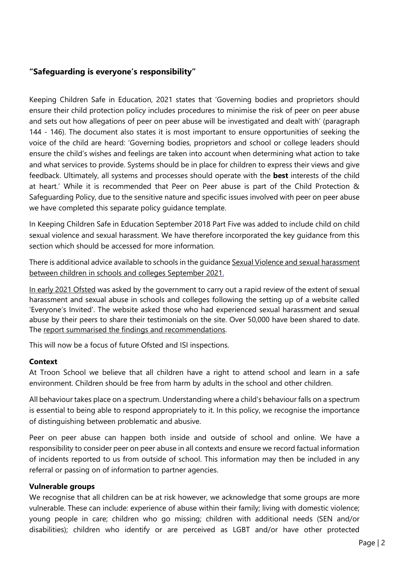# **"Safeguarding is everyone's responsibility"**

Keeping Children Safe in Education, 2021 states that 'Governing bodies and proprietors should ensure their child protection policy includes procedures to minimise the risk of peer on peer abuse and sets out how allegations of peer on peer abuse will be investigated and dealt with' (paragraph 144 - 146). The document also states it is most important to ensure opportunities of seeking the voice of the child are heard: 'Governing bodies, proprietors and school or college leaders should ensure the child's wishes and feelings are taken into account when determining what action to take and what services to provide. Systems should be in place for children to express their views and give feedback. Ultimately, all systems and processes should operate with the **best** interests of the child at heart.' While it is recommended that Peer on Peer abuse is part of the Child Protection & Safeguarding Policy, due to the sensitive nature and specific issues involved with peer on peer abuse we have completed this separate policy guidance template.

In Keeping Children Safe in Education September 2018 Part Five was added to include child on child sexual violence and sexual harassment. We have therefore incorporated the key guidance from this section which should be accessed for more information.

There is additional advice available to schools in the guidanc[e Sexual Violence and sexual harassment](https://www.gov.uk/government/publications/sexual-violence-and-sexual-harassment-between-children-in-schools-and-colleges) [between children in schools and colleges](https://www.gov.uk/government/publications/sexual-violence-and-sexual-harassment-between-children-in-schools-and-colleges) September 2021.

In early 2021 Ofsted was asked by the government to carry out a rapid review of the extent of sexual harassment and sexual abuse in schools and colleges following the setting up of a website called 'Everyone's Invited'. The website asked those who had experienced sexual harassment and sexual abuse by their peers to share their testimonials on the site. Over 50,000 have been shared to date. The [report summarised the findings and recommendations.](https://www.gov.uk/government/publications/review-of-sexual-abuse-in-schools-and-colleges/review-of-sexual-abuse-in-schools-and-colleges)

This will now be a focus of future Ofsted and ISI inspections.

# **Context**

At Troon School we believe that all children have a right to attend school and learn in a safe environment. Children should be free from harm by adults in the school and other children.

All behaviour takes place on a spectrum. Understanding where a child's behaviour falls on a spectrum is essential to being able to respond appropriately to it. In this policy, we recognise the importance of distinguishing between problematic and abusive.

Peer on peer abuse can happen both inside and outside of school and online. We have a responsibility to consider peer on peer abuse in all contexts and ensure we record factual information of incidents reported to us from outside of school. This information may then be included in any referral or passing on of information to partner agencies.

## **Vulnerable groups**

We recognise that all children can be at risk however, we acknowledge that some groups are more vulnerable. These can include: experience of abuse within their family; living with domestic violence; young people in care; children who go missing; children with additional needs (SEN and/or disabilities); children who identify or are perceived as LGBT and/or have other protected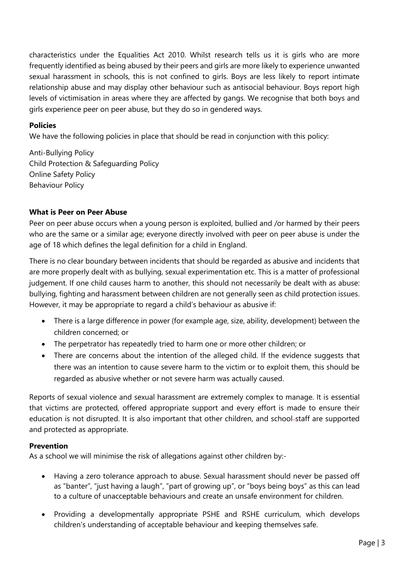characteristics under the Equalities Act 2010. Whilst research tells us it is girls who are more frequently identified as being abused by their peers and girls are more likely to experience unwanted sexual harassment in schools, this is not confined to girls. Boys are less likely to report intimate relationship abuse and may display other behaviour such as antisocial behaviour. Boys report high levels of victimisation in areas where they are affected by gangs. We recognise that both boys and girls experience peer on peer abuse, but they do so in gendered ways.

# **Policies**

We have the following policies in place that should be read in conjunction with this policy:

Anti-Bullying Policy Child Protection & Safeguarding Policy Online Safety Policy Behaviour Policy

# **What is Peer on Peer Abuse**

Peer on peer abuse occurs when a young person is exploited, bullied and /or harmed by their peers who are the same or a similar age; everyone directly involved with peer on peer abuse is under the age of 18 which defines the legal definition for a child in England.

There is no clear boundary between incidents that should be regarded as abusive and incidents that are more properly dealt with as bullying, sexual experimentation etc. This is a matter of professional judgement. If one child causes harm to another, this should not necessarily be dealt with as abuse: bullying, fighting and harassment between children are not generally seen as child protection issues. However, it may be appropriate to regard a child's behaviour as abusive if:

- There is a large difference in power (for example age, size, ability, development) between the children concerned; or
- The perpetrator has repeatedly tried to harm one or more other children; or
- There are concerns about the intention of the alleged child. If the evidence suggests that there was an intention to cause severe harm to the victim or to exploit them, this should be regarded as abusive whether or not severe harm was actually caused.

Reports of sexual violence and sexual harassment are extremely complex to manage. It is essential that victims are protected, offered appropriate support and every effort is made to ensure their education is not disrupted. It is also important that other children, and school-staff are supported and protected as appropriate.

## **Prevention**

As a school we will minimise the risk of allegations against other children by:-

- Having a zero tolerance approach to abuse. Sexual harassment should never be passed off as "banter", "just having a laugh", "part of growing up", or "boys being boys" as this can lead to a culture of unacceptable behaviours and create an unsafe environment for children.
- Providing a developmentally appropriate PSHE and RSHE curriculum, which develops children's understanding of acceptable behaviour and keeping themselves safe.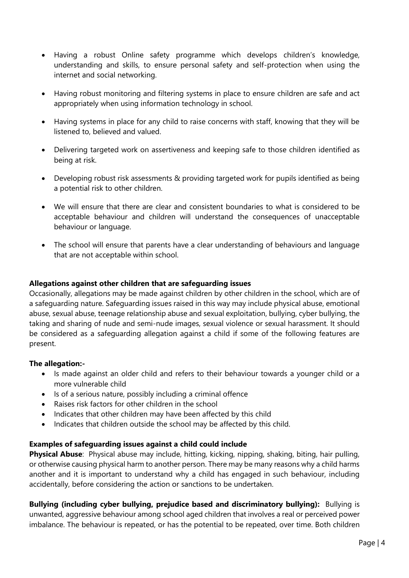- Having a robust Online safety programme which develops children's knowledge, understanding and skills, to ensure personal safety and self-protection when using the internet and social networking.
- Having robust monitoring and filtering systems in place to ensure children are safe and act appropriately when using information technology in school.
- Having systems in place for any child to raise concerns with staff, knowing that they will be listened to, believed and valued.
- Delivering targeted work on assertiveness and keeping safe to those children identified as being at risk.
- Developing robust risk assessments & providing targeted work for pupils identified as being a potential risk to other children.
- We will ensure that there are clear and consistent boundaries to what is considered to be acceptable behaviour and children will understand the consequences of unacceptable behaviour or language.
- The school will ensure that parents have a clear understanding of behaviours and language that are not acceptable within school.

# **Allegations against other children that are safeguarding issues**

Occasionally, allegations may be made against children by other children in the school, which are of a safeguarding nature. Safeguarding issues raised in this way may include physical abuse, emotional abuse, sexual abuse, teenage relationship abuse and sexual exploitation, bullying, cyber bullying, the taking and sharing of nude and semi-nude images, sexual violence or sexual harassment. It should be considered as a safeguarding allegation against a child if some of the following features are present.

## **The allegation:-**

- Is made against an older child and refers to their behaviour towards a younger child or a more vulnerable child
- Is of a serious nature, possibly including a criminal offence
- Raises risk factors for other children in the school
- Indicates that other children may have been affected by this child
- Indicates that children outside the school may be affected by this child.

# **Examples of safeguarding issues against a child could include**

**Physical Abuse**: Physical abuse may include, hitting, kicking, nipping, shaking, biting, hair pulling, or otherwise causing physical harm to another person. There may be many reasons why a child harms another and it is important to understand why a child has engaged in such behaviour, including accidentally, before considering the action or sanctions to be undertaken.

**Bullying (including cyber bullying, prejudice based and discriminatory bullying):** Bullying is unwanted, aggressive behaviour among school aged children that involves a real or perceived power imbalance. The behaviour is repeated, or has the potential to be repeated, over time. Both children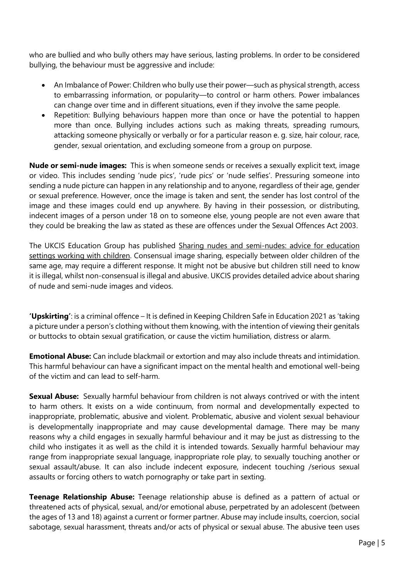who are bullied and who bully others may have serious, lasting problems. In order to be considered bullying, the behaviour must be aggressive and include:

- An Imbalance of Power: Children who bully use their power—such as physical strength, access to embarrassing information, or popularity—to control or harm others. Power imbalances can change over time and in different situations, even if they involve the same people.
- Repetition: Bullying behaviours happen more than once or have the potential to happen more than once. Bullying includes actions such as making threats, spreading rumours, attacking someone physically or verbally or for a particular reason e. g. size, hair colour, race, gender, sexual orientation, and excluding someone from a group on purpose.

**Nude or semi-nude images:** This is when someone sends or receives a sexually explicit text, image or video. This includes sending 'nude pics', 'rude pics' or 'nude selfies'. Pressuring someone into sending a nude picture can happen in any relationship and to anyone, regardless of their age, gender or sexual preference. However, once the image is taken and sent, the sender has lost control of the image and these images could end up anywhere. By having in their possession, or distributing, indecent images of a person under 18 on to someone else, young people are not even aware that they could be breaking the law as stated as these are offences under the Sexual Offences Act 2003.

The UKCIS Education Group has published [Sharing nudes and semi-nudes: advice for education](https://www.gov.uk/government/publications/sharing-nudes-and-semi-nudes-advice-for-education-settings-working-with-children-and-young-people/sharing-nudes-and-semi-nudes-advice-for-education-settings-working-with-children-and-young-people)  [settings working with children.](https://www.gov.uk/government/publications/sharing-nudes-and-semi-nudes-advice-for-education-settings-working-with-children-and-young-people/sharing-nudes-and-semi-nudes-advice-for-education-settings-working-with-children-and-young-people) Consensual image sharing, especially between older children of the same age, may require a different response. It might not be abusive but children still need to know it is illegal, whilst non-consensual is illegal and abusive. UKCIS provides detailed advice about sharing of nude and semi-nude images and videos.

**'Upskirting'**: is a criminal offence – It is defined in Keeping Children Safe in Education 2021 as 'taking a picture under a person's clothing without them knowing, with the intention of viewing their genitals or buttocks to obtain sexual gratification, or cause the victim humiliation, distress or alarm.

**Emotional Abuse:** Can include blackmail or extortion and may also include threats and intimidation. This harmful behaviour can have a significant impact on the mental health and emotional well-being of the victim and can lead to self-harm.

**Sexual Abuse:** Sexually harmful behaviour from children is not always contrived or with the intent to harm others. It exists on a wide continuum, from normal and developmentally expected to inappropriate, problematic, abusive and violent. Problematic, abusive and violent sexual behaviour is developmentally inappropriate and may cause developmental damage. There may be many reasons why a child engages in sexually harmful behaviour and it may be just as distressing to the child who instigates it as well as the child it is intended towards. Sexually harmful behaviour may range from inappropriate sexual language, inappropriate role play, to sexually touching another or sexual assault/abuse. It can also include indecent exposure, indecent touching /serious sexual assaults or forcing others to watch pornography or take part in sexting.

**Teenage Relationship Abuse:** Teenage relationship abuse is defined as a pattern of actual or threatened acts of physical, sexual, and/or emotional abuse, perpetrated by an adolescent (between the ages of 13 and 18) against a current or former partner. Abuse may include insults, coercion, social sabotage, sexual harassment, threats and/or acts of physical or sexual abuse. The abusive teen uses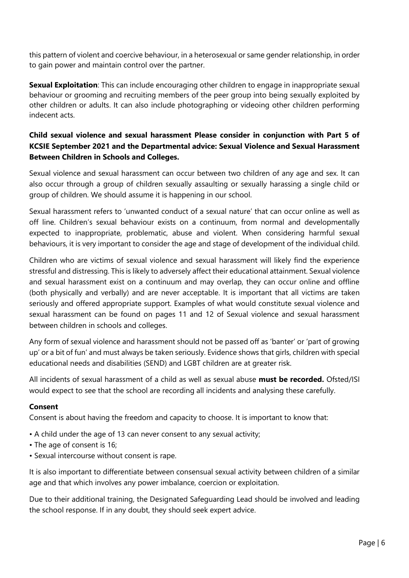this pattern of violent and coercive behaviour, in a heterosexual or same gender relationship, in order to gain power and maintain control over the partner.

**Sexual Exploitation**: This can include encouraging other children to engage in inappropriate sexual behaviour or grooming and recruiting members of the peer group into being sexually exploited by other children or adults. It can also include photographing or videoing other children performing indecent acts.

# **Child sexual violence and sexual harassment Please consider in conjunction with Part 5 of KCSIE September 2021 and the Departmental advice: Sexual Violence and Sexual Harassment Between Children in Schools and Colleges.**

Sexual violence and sexual harassment can occur between two children of any age and sex. It can also occur through a group of children sexually assaulting or sexually harassing a single child or group of children. We should assume it is happening in our school.

Sexual harassment refers to 'unwanted conduct of a sexual nature' that can occur online as well as off line. Children's sexual behaviour exists on a continuum, from normal and developmentally expected to inappropriate, problematic, abuse and violent. When considering harmful sexual behaviours, it is very important to consider the age and stage of development of the individual child.

Children who are victims of sexual violence and sexual harassment will likely find the experience stressful and distressing. This is likely to adversely affect their educational attainment. Sexual violence and sexual harassment exist on a continuum and may overlap, they can occur online and offline (both physically and verbally) and are never acceptable. It is important that all victims are taken seriously and offered appropriate support. Examples of what would constitute sexual violence and sexual harassment can be found on pages 11 and 12 of Sexual violence and sexual harassment between children in schools and colleges.

Any form of sexual violence and harassment should not be passed off as 'banter' or 'part of growing up' or a bit of fun' and must always be taken seriously. Evidence shows that girls, children with special educational needs and disabilities (SEND) and LGBT children are at greater risk.

All incidents of sexual harassment of a child as well as sexual abuse **must be recorded.** Ofsted/ISI would expect to see that the school are recording all incidents and analysing these carefully.

# **Consent**

Consent is about having the freedom and capacity to choose. It is important to know that:

- A child under the age of 13 can never consent to any sexual activity;
- The age of consent is 16;
- Sexual intercourse without consent is rape.

It is also important to differentiate between consensual sexual activity between children of a similar age and that which involves any power imbalance, coercion or exploitation.

Due to their additional training, the Designated Safeguarding Lead should be involved and leading the school response. If in any doubt, they should seek expert advice.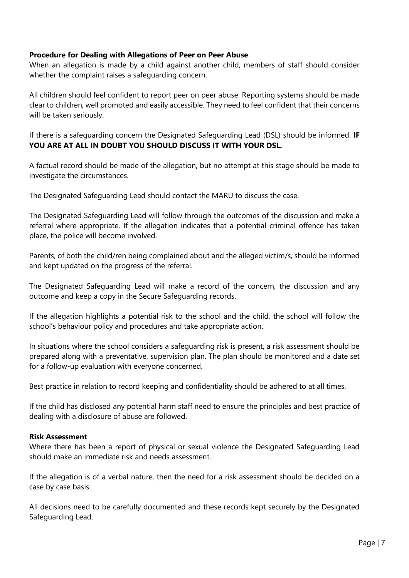## **Procedure for Dealing with Allegations of Peer on Peer Abuse**

When an allegation is made by a child against another child, members of staff should consider whether the complaint raises a safeguarding concern.

All children should feel confident to report peer on peer abuse. Reporting systems should be made clear to children, well promoted and easily accessible. They need to feel confident that their concerns will be taken seriously.

If there is a safeguarding concern the Designated Safeguarding Lead (DSL) should be informed. **IF YOU ARE AT ALL IN DOUBT YOU SHOULD DISCUSS IT WITH YOUR DSL.**

A factual record should be made of the allegation, but no attempt at this stage should be made to investigate the circumstances.

The Designated Safeguarding Lead should contact the MARU to discuss the case.

The Designated Safeguarding Lead will follow through the outcomes of the discussion and make a referral where appropriate. If the allegation indicates that a potential criminal offence has taken place, the police will become involved.

Parents, of both the child/ren being complained about and the alleged victim/s, should be informed and kept updated on the progress of the referral.

The Designated Safeguarding Lead will make a record of the concern, the discussion and any outcome and keep a copy in the Secure Safeguarding records.

If the allegation highlights a potential risk to the school and the child, the school will follow the school's behaviour policy and procedures and take appropriate action.

In situations where the school considers a safeguarding risk is present, a risk assessment should be prepared along with a preventative, supervision plan. The plan should be monitored and a date set for a follow-up evaluation with everyone concerned.

Best practice in relation to record keeping and confidentiality should be adhered to at all times.

If the child has disclosed any potential harm staff need to ensure the principles and best practice of dealing with a disclosure of abuse are followed.

## **Risk Assessment**

Where there has been a report of physical or sexual violence the Designated Safeguarding Lead should make an immediate risk and needs assessment.

If the allegation is of a verbal nature, then the need for a risk assessment should be decided on a case by case basis.

All decisions need to be carefully documented and these records kept securely by the Designated Safeguarding Lead.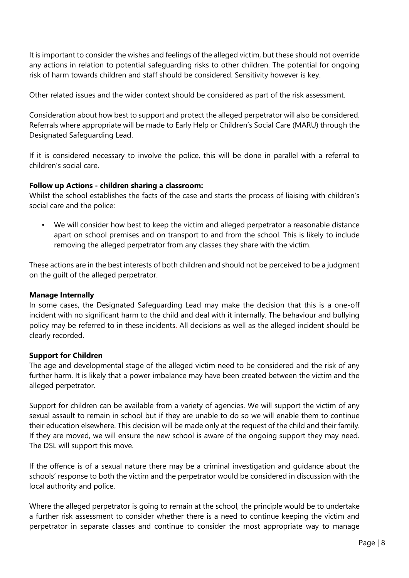It is important to consider the wishes and feelings of the alleged victim, but these should not override any actions in relation to potential safeguarding risks to other children. The potential for ongoing risk of harm towards children and staff should be considered. Sensitivity however is key.

Other related issues and the wider context should be considered as part of the risk assessment.

Consideration about how best to support and protect the alleged perpetrator will also be considered. Referrals where appropriate will be made to Early Help or Children's Social Care (MARU) through the Designated Safeguarding Lead.

If it is considered necessary to involve the police, this will be done in parallel with a referral to children's social care.

## **Follow up Actions - children sharing a classroom:**

Whilst the school establishes the facts of the case and starts the process of liaising with children's social care and the police:

• We will consider how best to keep the victim and alleged perpetrator a reasonable distance apart on school premises and on transport to and from the school. This is likely to include removing the alleged perpetrator from any classes they share with the victim.

These actions are in the best interests of both children and should not be perceived to be a judgment on the guilt of the alleged perpetrator.

## **Manage Internally**

In some cases, the Designated Safeguarding Lead may make the decision that this is a one-off incident with no significant harm to the child and deal with it internally. The behaviour and bullying policy may be referred to in these incidents. All decisions as well as the alleged incident should be clearly recorded.

# **Support for Children**

The age and developmental stage of the alleged victim need to be considered and the risk of any further harm. It is likely that a power imbalance may have been created between the victim and the alleged perpetrator.

Support for children can be available from a variety of agencies. We will support the victim of any sexual assault to remain in school but if they are unable to do so we will enable them to continue their education elsewhere. This decision will be made only at the request of the child and their family. If they are moved, we will ensure the new school is aware of the ongoing support they may need. The DSL will support this move.

If the offence is of a sexual nature there may be a criminal investigation and guidance about the schools' response to both the victim and the perpetrator would be considered in discussion with the local authority and police.

Where the alleged perpetrator is going to remain at the school, the principle would be to undertake a further risk assessment to consider whether there is a need to continue keeping the victim and perpetrator in separate classes and continue to consider the most appropriate way to manage